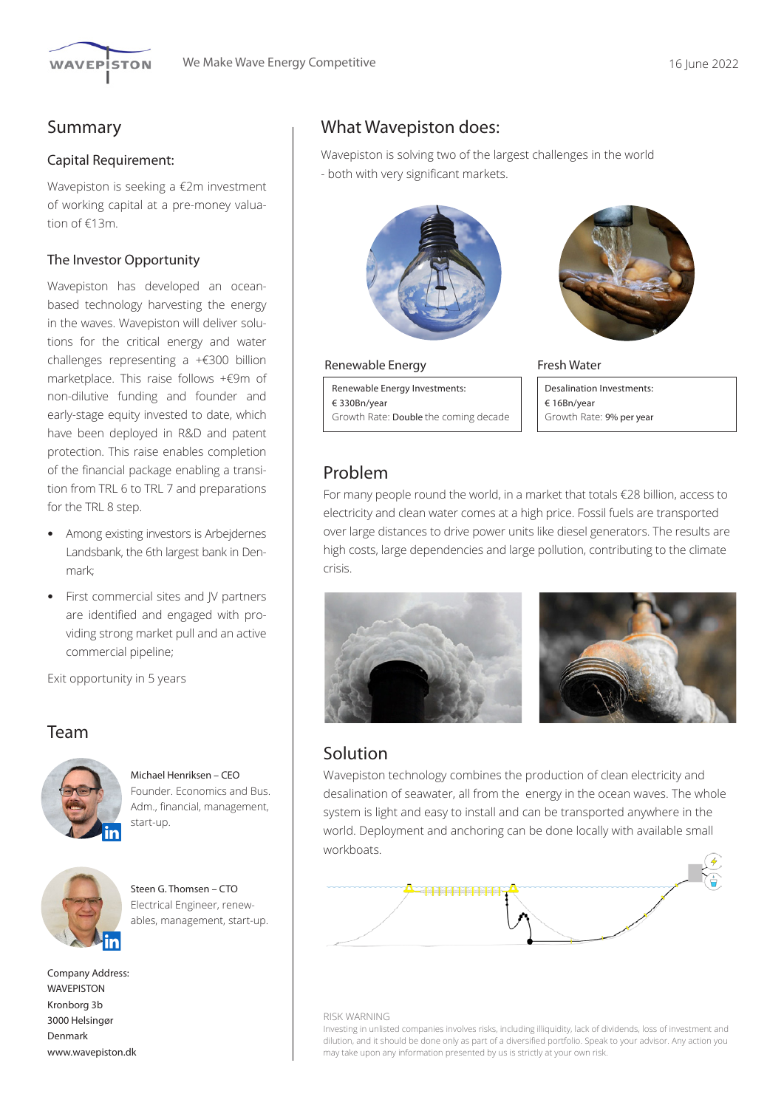

## Summary

### Capital Requirement:

Wavepiston is seeking a €2m investment of working capital at a pre-money valuation of €13m.

### The Investor Opportunity

Wavepiston has developed an oceanbased technology harvesting the energy in the waves. Wavepiston will deliver solutions for the critical energy and water challenges representing a +€300 billion marketplace. This raise follows +€9m of non-dilutive funding and founder and early-stage equity invested to date, which have been deployed in R&D and patent protection. This raise enables completion of the financial package enabling a transition from TRL 6 to TRL 7 and preparations for the TRL 8 step.

- Among existing investors is Arbejdernes Landsbank, the 6th largest bank in Denmark;
- First commercial sites and JV partners are identified and engaged with providing strong market pull and an active commercial pipeline;

Exit opportunity in 5 years

## Team



Michael Henriksen – CEO Founder. Economics and Bus. Adm., financial, management, start-up.



Steen G. Thomsen – CTO Electrical Engineer, renewables, management, start-up.

Company Address: **WAVEPISTON** Kronborg 3b 3000 Helsingør Denmark www.wavepiston.dk

## What Wavepiston does:

Wavepiston is solving two of the largest challenges in the world - both with very significant markets.



#### Renewable Energy

Renewable Energy Investments: € 330Bn/year Growth Rate: Double the coming decade



### Fresh Water

Desalination Investments: € 16Bn/year Growth Rate: 9% per year

## Problem

For many people round the world, in a market that totals €28 billion, access to electricity and clean water comes at a high price. Fossil fuels are transported over large distances to drive power units like diesel generators. The results are high costs, large dependencies and large pollution, contributing to the climate crisis.





## Solution

Wavepiston technology combines the production of clean electricity and desalination of seawater, all from the energy in the ocean waves. The whole system is light and easy to install and can be transported anywhere in the world. Deployment and anchoring can be done locally with available small workboats.



#### RISK WARNING

Investing in unlisted companies involves risks, including illiquidity, lack of dividends, loss of investment and dilution, and it should be done only as part of a diversified portfolio. Speak to your advisor. Any action you may take upon any information presented by us is strictly at your own risk.